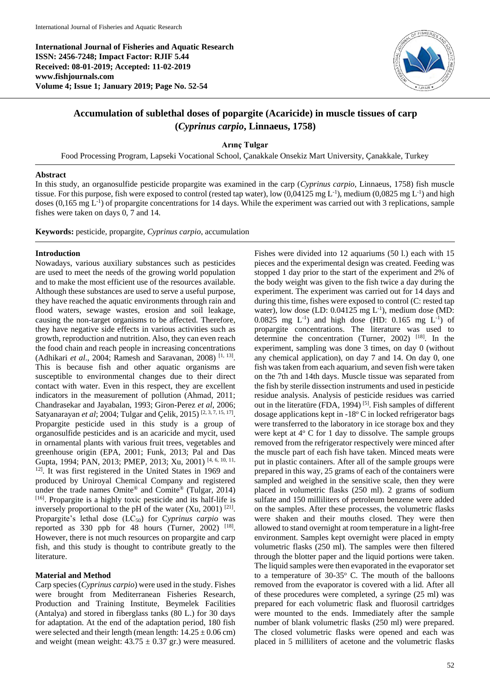**International Journal of Fisheries and Aquatic Research ISSN: 2456-7248; Impact Factor: RJIF 5.44 Received: 08-01-2019; Accepted: 11-02-2019 www.fishjournals.com Volume 4; Issue 1; January 2019; Page No. 52-54**



# **Accumulation of sublethal doses of popargite (Acaricide) in muscle tissues of carp (***Cyprinus carpio***, Linnaeus, 1758)**

**Arınç Tulgar**

Food Processing Program, Lapseki Vocational School, Çanakkale Onsekiz Mart University, Çanakkale, Turkey

### **Abstract**

In this study, an organosulfide pesticide propargite was examined in the carp (*Cyprinus carpio*, Linnaeus, 1758) fish muscle tissue. For this purpose, fish were exposed to control (rested tap water), low  $(0.04125 \text{ mg L}^{-1})$ , medium  $(0.0825 \text{ mg L}^{-1})$  and high doses (0,165 mg L<sup>-1</sup>) of propargite concentrations for 14 days. While the experiment was carried out with 3 replications, sample fishes were taken on days 0, 7 and 14.

**Keywords:** pesticide, propargite, *Cyprinus carpio*, accumulation

## **Introduction**

Nowadays, various auxiliary substances such as pesticides are used to meet the needs of the growing world population and to make the most efficient use of the resources available. Although these substances are used to serve a useful purpose, they have reached the aquatic environments through rain and flood waters, sewage wastes, erosion and soil leakage, causing the non-target organisms to be affected. Therefore, they have negative side effects in various activities such as growth, reproduction and nutrition. Also, they can even reach the food chain and reach people in increasing concentrations (Adhikari *et al.*, 2004; Ramesh and Saravanan, 2008)<sup>[1, 13]</sup>. This is because fish and other aquatic organisms are susceptible to environmental changes due to their direct contact with water. Even in this respect, they are excellent indicators in the measurement of pollution (Ahmad, 2011; Chandrasekar and Jayabalan, 1993; Giron-Perez *et al*, 2006; Satyanarayan et al; 2004; Tulgar and Çelik, 2015)<sup>[2, 3, 7, 15, 17]</sup>. Propargite pesticide used in this study is a group of organosulfide pesticides and is an acaricide and mycit, used in ornamental plants with various fruit trees, vegetables and greenhouse origin (EPA, 2001; Funk, 2013; Pal and Das Gupta, 1994; PAN, 2013; PMEP, 2013; Xu, 2001) [4, 6, 10, 11, <sup>12]</sup>. It was first registered in the United States in 1969 and produced by Uniroyal Chemical Company and registered under the trade names Omite® and Comite® (Tulgar, 2014) [16]. Propargite is a highly toxic pesticide and its half-life is inversely proportional to the pH of the water  $(X<sub>u</sub>, 2001)$ <sup>[21]</sup>. Propargite's lethal dose (LC<sub>50</sub>) for Cyprinus carpio was reported as  $330$  ppb for  $48$  hours (Turner,  $2002$ )  $^{[18]}$ . However, there is not much resources on propargite and carp fish, and this study is thought to contribute greatly to the literature.

# **Material and Method**

Carp species (*Cyprinus carpio*) were used in the study. Fishes were brought from Mediterranean Fisheries Research, Production and Training Institute, Beymelek Facilities (Antalya) and stored in fiberglass tanks (80 L.) for 30 days for adaptation. At the end of the adaptation period, 180 fish were selected and their length (mean length:  $14.25 \pm 0.06$  cm) and weight (mean weight:  $43.75 \pm 0.37$  gr.) were measured.

Fishes were divided into 12 aquariums (50 l.) each with 15 pieces and the experimental design was created. Feeding was stopped 1 day prior to the start of the experiment and 2% of the body weight was given to the fish twice a day during the experiment. The experiment was carried out for 14 days and during this time, fishes were exposed to control (C: rested tap water), low dose (LD:  $0.04125$  mg L<sup>-1</sup>), medium dose (MD: 0.0825 mg  $L^{-1}$ ) and high dose (HD: 0.165 mg  $L^{-1}$ ) of propargite concentrations. The literature was used to determine the concentration (Turner, 2002)  $[18]$ . In the experiment, sampling was done 3 times, on day 0 (without any chemical application), on day 7 and 14. On day 0, one fish was taken from each aquarium, and seven fish were taken on the 7th and 14th days. Muscle tissue was separated from the fish by sterile dissection instruments and used in pesticide residue analysis. Analysis of pesticide residues was carried out in the literatüre (FDA, 1994)<sup>[5]</sup>. Fish samples of different dosage applications kept in -18° C in locked refrigerator bags were transferred to the laboratory in ice storage box and they were kept at  $4^{\circ}$  C for 1 day to dissolve. The sample groups removed from the refrigerator respectively were minced after the muscle part of each fish have taken. Minced meats were put in plastic containers. After all of the sample groups were prepared in this way, 25 grams of each of the containers were sampled and weighed in the sensitive scale, then they were placed in volumetric flasks (250 ml). 2 grams of sodium sulfate and 150 milliliters of petroleum benzene were added on the samples. After these processes, the volumetric flasks were shaken and their mouths closed. They were then allowed to stand overnight at room temperature in a light-free environment. Samples kept overnight were placed in empty volumetric flasks (250 ml). The samples were then filtered through the blotter paper and the liquid portions were taken. The liquid samples were then evaporated in the evaporator set to a temperature of  $30-35^{\circ}$  C. The mouth of the balloons removed from the evaporator is covered with a lid. After all of these procedures were completed, a syringe (25 ml) was prepared for each volumetric flask and fluorosil cartridges were mounted to the ends. Immediately after the sample number of blank volumetric flasks (250 ml) were prepared. The closed volumetric flasks were opened and each was placed in 5 milliliters of acetone and the volumetric flasks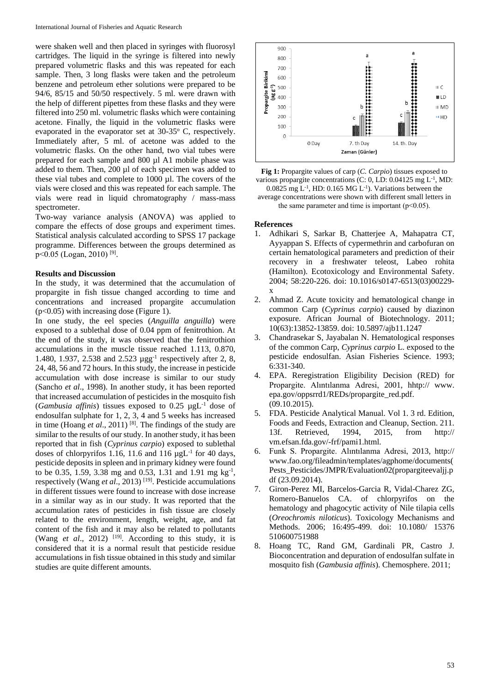were shaken well and then placed in syringes with fluorosyl cartridges. The liquid in the syringe is filtered into newly prepared volumetric flasks and this was repeated for each sample. Then, 3 long flasks were taken and the petroleum benzene and petroleum ether solutions were prepared to be 94/6, 85/15 and 50/50 respectively. 5 ml. were drawn with the help of different pipettes from these flasks and they were filtered into 250 ml. volumetric flasks which were containing acetone. Finally, the liquid in the volumetric flasks were evaporated in the evaporator set at  $30-35^{\circ}$  C, respectively. Immediately after, 5 ml. of acetone was added to the volumetric flasks. On the other hand, two vial tubes were prepared for each sample and 800 µl A1 mobile phase was added to them. Then, 200 µl of each specimen was added to these vial tubes and complete to 1000 µl. The covers of the vials were closed and this was repeated for each sample. The vials were read in liquid chromatography / mass-mass spectrometer.

Two-way variance analysis (ANOVA) was applied to compare the effects of dose groups and experiment times. Statistical analysis calculated according to SPSS 17 package programme. Differences between the groups determined as p<0.05 (Logan, 2010)<sup>[9]</sup>.

## **Results and Discussion**

In the study, it was determined that the accumulation of propargite in fish tissue changed according to time and concentrations and increased propargite accumulation (p<0.05) with increasing dose (Figure 1).

In one study, the eel species (*Anguilla anguilla*) were exposed to a sublethal dose of 0.04 ppm of fenitrothion. At the end of the study, it was observed that the fenitrothion accumulations in the muscle tissue reached 1.113, 0.870, 1.480, 1.937, 2.538 and 2.523 µgg-1 respectively after 2, 8, 24, 48, 56 and 72 hours. In this study, the increase in pesticide accumulation with dose increase is similar to our study (Sancho *et al*., 1998). In another study, it has been reported that increased accumulation of pesticides in the mosquito fish (*Gambusia affinis*) tissues exposed to  $0.25 \mu gL^{-1}$  dose of endosulfan sulphate for 1, 2, 3, 4 and 5 weeks has increased in time (Hoang *et al*., 2011) [8]. The findings of the study are similar to the results of our study. In another study, it has been reported that in fish (*Cyprinus carpio*) exposed to sublethal doses of chlorpyrifos 1.16, 11.6 and 116  $\mu$ gL<sup>-1</sup> for 40 days, pesticide deposits in spleen and in primary kidney were found to be 0.35, 1.59, 3.38 mg and 0.53, 1.31 and 1.91 mg  $kg^{-1}$ , respectively (Wang *et al*., 2013) [19] . Pesticide accumulations in different tissues were found to increase with dose increase in a similar way as in our study. It was reported that the accumulation rates of pesticides in fish tissue are closely related to the environment, length, weight, age, and fat content of the fish and it may also be related to pollutants (Wang  $et$   $al$ , 2012)<sup>[19]</sup>. According to this study, it is considered that it is a normal result that pesticide residue accumulations in fish tissue obtained in this study and similar studies are quite different amounts.



**Fig 1:** Propargite values of carp (*C. Carpio*) tissues exposed to various propargite concentrations (C: 0, LD: 0.04125 mg L<sup>-1</sup>, MD:  $0.0825$  mg L<sup>-1</sup>, HD:  $0.165$  MG L<sup>-1</sup>). Variations between the

average concentrations were shown with different small letters in the same parameter and time is important  $(p<0.05)$ .

### **References**

- 1. Adhikari S, Sarkar B, Chatterjee A, Mahapatra CT, Ayyappan S. Effects of cypermethrin and carbofuran on certain hematological parameters and prediction of their recovery in a freshwater teleost, Labeo rohita (Hamilton). Ecotoxicology and Environmental Safety. 2004; 58:220-226. doi: 10.1016/s0147-6513(03)00229 x
- 2. Ahmad Z. Acute toxicity and hematological change in common Carp (*Cyprinus carpio*) caused by diazinon exposure. African Journal of Biotechnology. 2011; 10(63):13852-13859. doi: 10.5897/ajb11.1247
- 3. Chandrasekar S, Jayabalan N. Hematological responses of the common Carp, *Cyprinus carpio* L. exposed to the pesticide endosulfan. Asian Fisheries Science. 1993; 6:331-340.
- 4. EPA. Reregistration Eligibility Decision (RED) for Propargite. Alıntılanma Adresi, 2001, hhtp:// www. epa.gov/oppsrrd1/REDs/propargite\_red.pdf. (09.10.2015).
- 5. FDA. Pesticide Analytical Manual. Vol 1. 3 rd. Edition, Foods and Feeds, Extraction and Cleanup, Section. 211. 13f. Retrieved, 1994, 2015, from http:// vm.efsan.fda.gov/-frf/pami1.html.
- 6. Funk S. Propargite. Alıntılanma Adresi, 2013, http:// www.fao.org/fileadmin/templates/agphome/documents( Pests\_Pesticides/JMPR/Evaluation02(propargite evaljj.p df (23.09.2014).
- 7. Giron-Perez MI, Barcelos-Garcia R, Vidal-Charez ZG, Romero-Banuelos CA. of chlorpyrifos on the hematology and phagocytic activity of Nile tilapia cells (*Oreochromis niloticus*). Toxicology Mechanisms and Methods. 2006; 16:495-499. doi: 10.1080/ 15376 510600751988
- 8. Hoang TC, Rand GM, Gardinali PR, Castro J. Bioconcentration and depuration of endosulfan sulfate in mosquito fish (*Gambusia affinis*). Chemosphere. 2011;